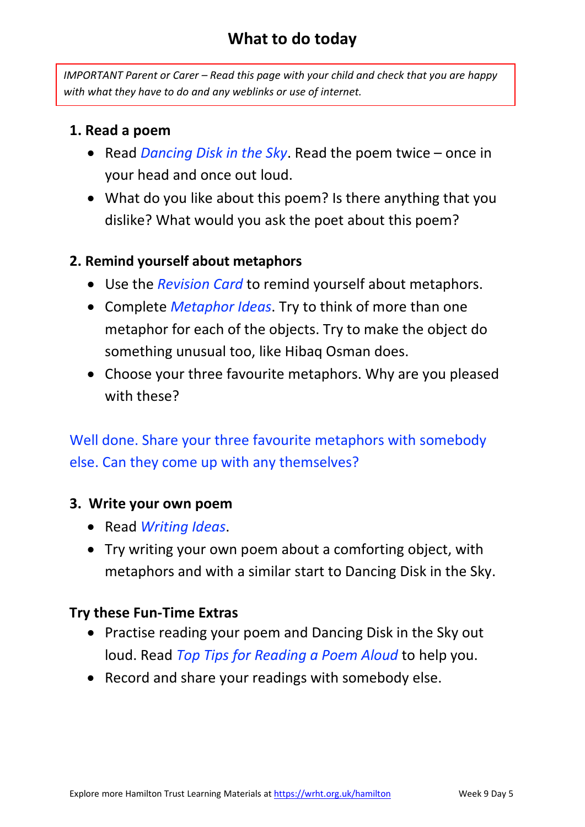## **What to do today**

*IMPORTANT Parent or Carer – Read this page with your child and check that you are happy with what they have to do and any weblinks or use of internet.* 

### **1. Read a poem**

- Read *Dancing Disk in the Sky*. Read the poem twice once in your head and once out loud.
- What do you like about this poem? Is there anything that you dislike? What would you ask the poet about this poem?

### **2. Remind yourself about metaphors**

- Use the *Revision Card* to remind yourself about metaphors.
- Complete *Metaphor Ideas*. Try to think of more than one metaphor for each of the objects. Try to make the object do something unusual too, like Hibaq Osman does.
- Choose your three favourite metaphors. Why are you pleased with these?

Well done. Share your three favourite metaphors with somebody else. Can they come up with any themselves?

#### **3. Write your own poem**

- Read *Writing Ideas*.
- Try writing your own poem about a comforting object, with metaphors and with a similar start to Dancing Disk in the Sky.

## **Try these Fun-Time Extras**

- Practise reading your poem and Dancing Disk in the Sky out loud. Read *Top Tips for Reading a Poem Aloud* to help you.
- Record and share your readings with somebody else.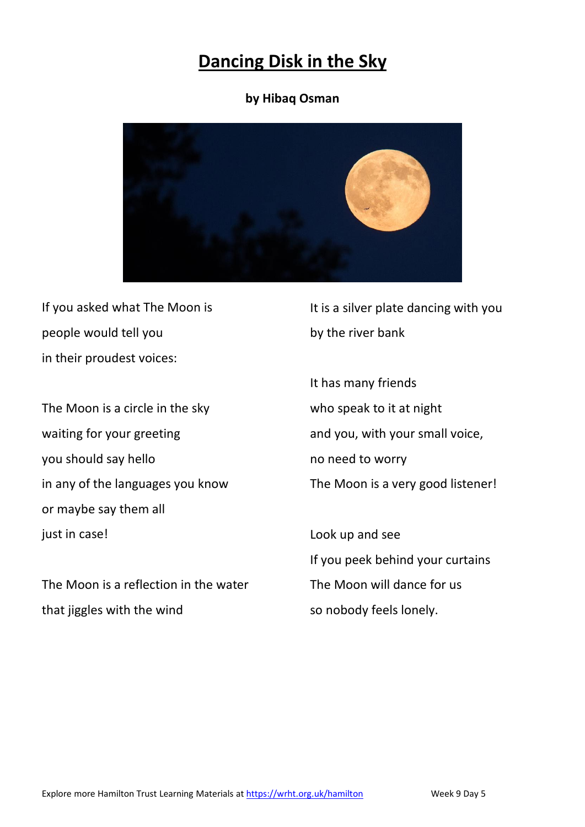## **Dancing Disk in the Sky**

#### **by Hibaq Osman**



If you asked what The Moon is people would tell you in their proudest voices:

The Moon is a circle in the sky waiting for your greeting you should say hello in any of the languages you know or maybe say them all just in case!

The Moon is a reflection in the water that jiggles with the wind

It is a silver plate dancing with you by the river bank

It has many friends who speak to it at night and you, with your small voice, no need to worry The Moon is a very good listener!

Look up and see If you peek behind your curtains The Moon will dance for us so nobody feels lonely.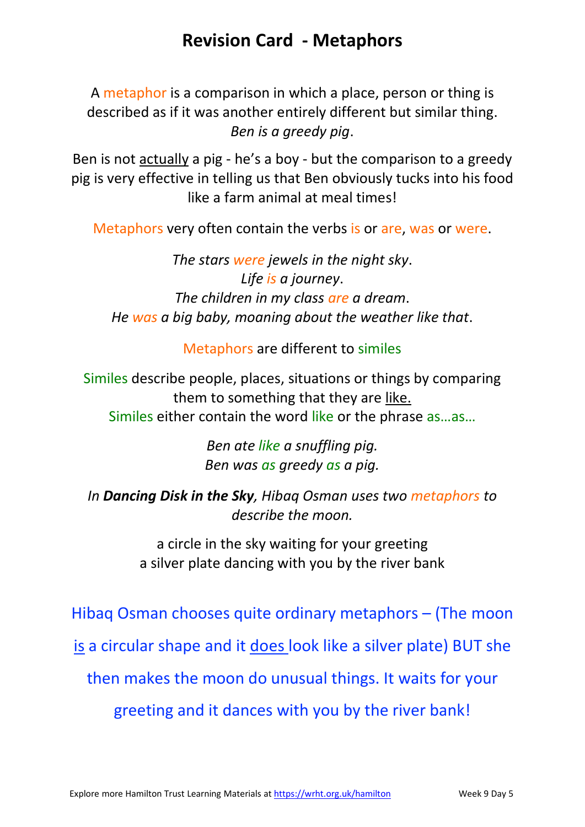## **Revision Card - Metaphors**

A metaphor is a comparison in which a place, person or thing is described as if it was another entirely different but similar thing. *Ben is a greedy pig*.

Ben is not actually a pig - he's a boy - but the comparison to a greedy pig is very effective in telling us that Ben obviously tucks into his food like a farm animal at meal times!

Metaphors very often contain the verbs is or are, was or were.

*The stars were jewels in the night sky*. *Life is a journey*. *The children in my class are a dream*. *He was a big baby, moaning about the weather like that*.

Metaphors are different to similes

Similes describe people, places, situations or things by comparing them to something that they are like. Similes either contain the word like or the phrase as…as…

> *Ben ate like a snuffling pig. Ben was as greedy as a pig.*

*In Dancing Disk in the Sky, Hibaq Osman uses two metaphors to describe the moon.*

> a circle in the sky waiting for your greeting a silver plate dancing with you by the river bank

Hibaq Osman chooses quite ordinary metaphors – (The moon is a circular shape and it does look like a silver plate) BUT she then makes the moon do unusual things. It waits for your greeting and it dances with you by the river bank!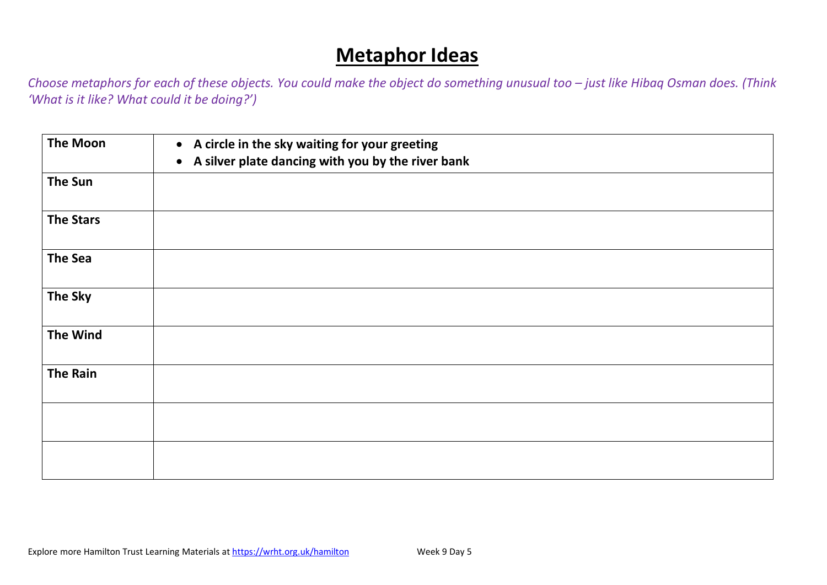# **Metaphor Ideas**

*Choose metaphors for each of these objects. You could make the object do something unusual too – just like Hibaq Osman does. (Think 'What is it like? What could it be doing?')*

| <b>The Moon</b>  | • A circle in the sky waiting for your greeting<br>A silver plate dancing with you by the river bank<br>$\bullet$ |
|------------------|-------------------------------------------------------------------------------------------------------------------|
| <b>The Sun</b>   |                                                                                                                   |
| <b>The Stars</b> |                                                                                                                   |
| The Sea          |                                                                                                                   |
| <b>The Sky</b>   |                                                                                                                   |
| <b>The Wind</b>  |                                                                                                                   |
| <b>The Rain</b>  |                                                                                                                   |
|                  |                                                                                                                   |
|                  |                                                                                                                   |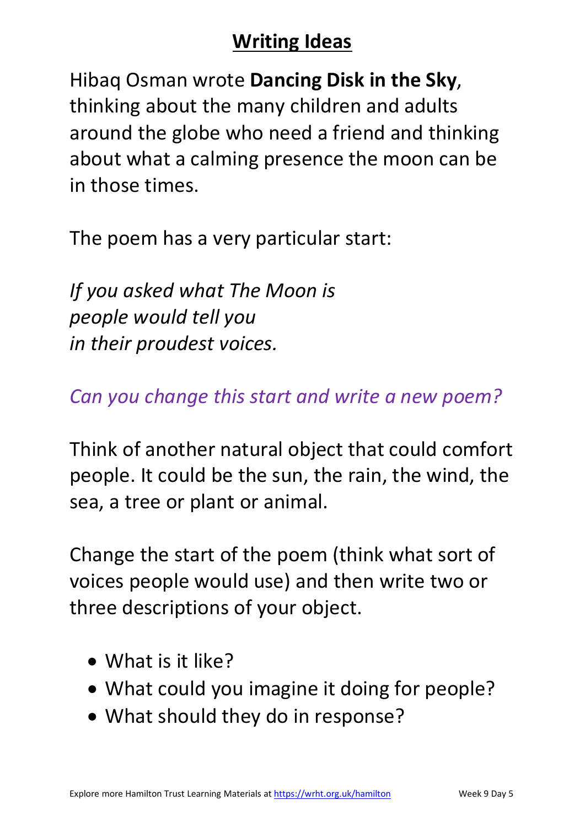# **Writing Ideas**

Hibaq Osman wrote **Dancing Disk in the Sky**, thinking about the many children and adults around the globe who need a friend and thinking about what a calming presence the moon can be in those times.

The poem has a very particular start:

*If you asked what The Moon is people would tell you in their proudest voices.* 

*Can you change this start and write a new poem?*

Think of another natural object that could comfort people. It could be the sun, the rain, the wind, the sea, a tree or plant or animal.

Change the start of the poem (think what sort of voices people would use) and then write two or three descriptions of your object.

- What is it like?
- What could you imagine it doing for people?
- What should they do in response?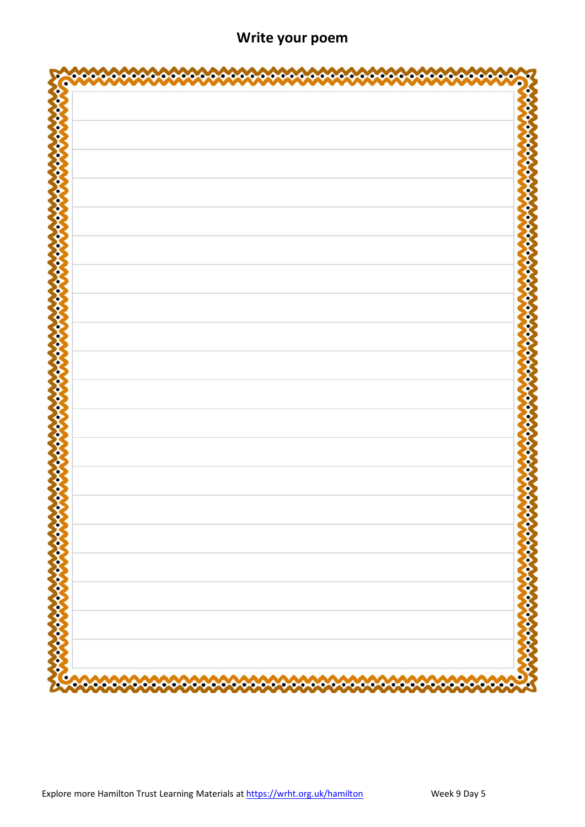| a de la concelhora de la concelhora                                               | <b>DE CONTENTANT CONTENTANT</b>                                       |
|-----------------------------------------------------------------------------------|-----------------------------------------------------------------------|
|                                                                                   |                                                                       |
| ٥<br>o<br>∞<br>ൟ<br>∞<br>Ð<br>∞<br>⋘<br>o<br>o<br>о<br>4<br>О<br>О<br>ю<br>o<br>О | $\rightsquigarrow$<br>- • • • • • • • • • • •<br>◆◆◆◆◆<br>∾<br>∘<br>∾ |